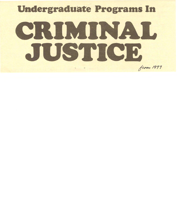# **Undergraduate Programs In**

# CRITICIAL from *<sup>1977</sup>*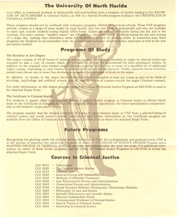#### **The University of North Florida**

now offers to interested students in· Jacksonville and surrounding areas a program of studies leading to the BACHE-LOR OF ARTS DEGREE in Criminal Justice, as well as a Special Studies program leading to the CERTIFICATE IN CRIMINAL JUSTICE.'

These programs should not be confused with extension programs offered by non-local schools. These UNF programs. provide courses in a range of areas taught by local faculty who live and work in Jacksonville and who are available to assist and counsel students during regular office hours. Classes are offered alternately during the day and in the evenings. For some courses, "parallel classes" are offered; i.e., the same course is offered during the day and evening of a single day, making class attendance easier for students employed on rotating shifts. In numerous ways these programs are designed to accommodate both the experienced in-service criminal justice employee as well as the new pre-service student.

#### **Programs Of Study**

#### The Bachelor of Arts Degree

The major consists of 35-40 hours of criminal justice courses. All students choosing to major in criminal justice are required to take a core of courses which are intended to provide the groundwork for their subsequent studies. In addition to the required core, student majors are also required to take two or more of a specified set of additional major courses, depending on each student's academic and experiential background. Finally, students whose schedules permit may choose one or more free electives to complete their program of study in the major.

In addition to studies in the major, the student is expected to complete at least one course in each of the fields of sociology, psychology and political science, and at least 35 hours of courses outside the major (Venture courses).

For more information on this degree program contact the Office of Criminal Justice Programs at 646-2758 or send in the attached Reply Form.

#### The Certificate in Criminal Justice

For students in majors other than Criminal Justice, a Special Studies program in Criminal Justice is offered which leads to the Certificate in Criminal Justice. The program offers an opportunity for minor specialization complementary to the student's major area of study.

The program requires that the student complete 30 hours of upper division study at UNF from a selected listing of criminal justice and social science courses. Applications and further information on this Certificate program are available from the Office of Criminal Justice Programs. Call 646-2758 or return the attached Reply Form.

#### **Future Programs**

Recognizing the growing needs for criminal justice education on both the undergraduate and graduate levels, UNF is in the process of planning two additional programs of study. A BACHELOR OF SCIENCE DEGREE Program and a MASTERS DEGREE IN CRIMINAL JUSTICE are both anticipated within the next two years. For additional information on either of these future programs, call the Office of Criminal Justice Programs at 646-2758 or return the attached Reply Form.

#### **Courses In Criminal Justice**

| <b>CCJ 3010</b> | - Criminology                                                   |
|-----------------|-----------------------------------------------------------------|
| <b>CCJ 3020</b> | - The Criminal Justice System                                   |
| <b>CCJ 3210</b> | $-$ Criminal Law                                                |
| CCJ 3290        | - Judicial Process and Administration                           |
| CCJ 3340        | - Methods of Offender Treatment                                 |
| CCJ 3400        | - Law Enforcement Process and Administration                    |
| CCJ 3440        | - Correctional Process and Administration                       |
| <b>CCJ 3700</b> | - Social Research Methods (Prerequisite: Elementary Statistics) |
| CCJ 4283        | - Philosophy of Law and Justice                                 |
| CCJ 4500        | - Juvenile Delinquency and Juvenile Justice                     |
| CCJ 4905        | - Directed Independent Study                                    |
| CCJ 4934        | - Contemporary Problems in Criminal Justice                     |
| CCJ 4935        | - Special Topics in Criminal Justice                            |
| CCJ 4940        | - Internship in Criminal Justice                                |
|                 |                                                                 |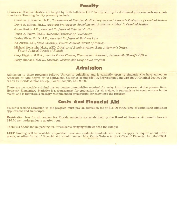## **Faculty-**

courses in Criminal Justice are taught by both full-time UNF faculty and by local criminal justice experts on a parttime basis. Teaching faculty presently include:

Ch1istine E. Rasche, Ph.D., *Coordinator of Criminal Justice Programs and Associate Professor of Criminal Justice.*  David R. Simon, Ph.D., *Assistant Professor of Sociology and Academic Advisor in Criminal Justice*  Joque Soskis, J.D., *Assistant Professor of Criminal Justice*  Linda A. Foley, Ph.D., *Associate Professor of Psychology*  Dietra Micks, Ph.D., J.D., *Assistant Professor of Business Law*  Ed Austin, J.D., *State Attorney, Fourth Judicial Circuit of Florida*  Michael Weinstein, M.A., ABD, *Director of Administration, State Attorney's Office, Fourth Judicial Circuit of Florida*  Gary Higgins, M.B.A., *Senior Police Planner, Planning and Research, Jacksonville Sheriff's Office*  Barry Hinnant, M.S.W., *Director, Jacksonville Drug Abuse Program* 

## **Admission**

Admission to these programs follows University guidelines and is currently open to students who have earned an Associate of Arts degree or its equivalent. Students lacking the AA degree should inquire about Criminal Justice education at Florida Junior College, South Campus, 646-2060.

There are no specific criminal justice course prerequisites required for entry into the program at the present time. However, Elementary Statistics is a requirement for graduation for all majors, is prerequisite to some courses in the major, and is therefore a strongly recommended prerequisite for entry into the program.

#### **Costs And Financial Aid**

Students seeking admission to the program must pay an admission fee of \$15.00 at the time of submitting admission applications and transcripts.

Registration fees for all courses for Florida residents are established by the Board of Regents. At present fees are \$16.50 per undergraduate quarter hour.

There is a \$5.00 annual parking fee for students bringing vehicles onto the campus.

LEEP funding will be available to qualified in-service students. Students who wish to apply or inquire about LEEP grants, or other forms of financial aid, should contact Mrs. Carrie Tutson in the Office of Financial Aid, 646-2604.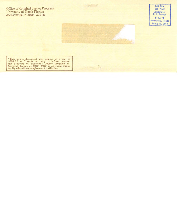Office of Criminal Justice Programs University of North Florida Jacksonville, Florida 32216



"This public document was printed at a cost of \$351.62, or 7 cents per copy, to inform prospec-tive students of Bachelor's Degree programs in Criminal Justice at UNF. UNF is an equal opportunity educational-employment institution.